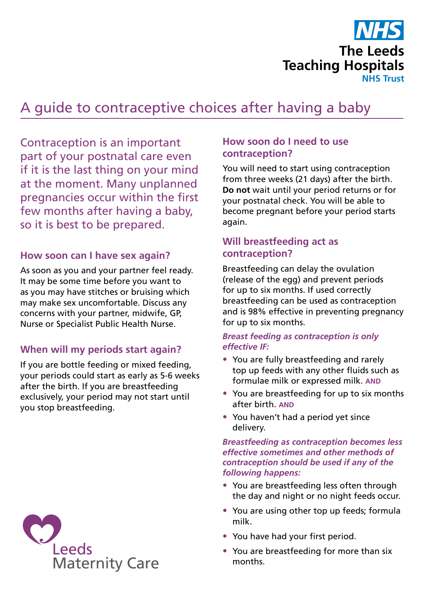

# A guide to contraceptive choices after having a baby

Contraception is an important part of your postnatal care even if it is the last thing on your mind at the moment. Many unplanned pregnancies occur within the first few months after having a baby, so it is best to be prepared.

## **How soon can I have sex again?**

As soon as you and your partner feel ready. It may be some time before you want to as you may have stitches or bruising which may make sex uncomfortable. Discuss any concerns with your partner, midwife, GP, Nurse or Specialist Public Health Nurse.

## **When will my periods start again?**

If you are bottle feeding or mixed feeding, your periods could start as early as 5-6 weeks after the birth. If you are breastfeeding exclusively, your period may not start until you stop breastfeeding.



## **How soon do I need to use contraception?**

You will need to start using contraception from three weeks (21 days) after the birth. **Do not** wait until your period returns or for your postnatal check. You will be able to become pregnant before your period starts again.

## **Will breastfeeding act as contraception?**

Breastfeeding can delay the ovulation (release of the egg) and prevent periods for up to six months. If used correctly breastfeeding can be used as contraception and is 98% effective in preventing pregnancy for up to six months.

#### *Breast feeding as contraception is only effective IF:*

- You are fully breastfeeding and rarely top up feeds with any other fluids such as formulae milk or expressed milk. **AND**
- You are breastfeeding for up to six months after birth. **AND**
- You haven't had a period yet since delivery.

#### *Breastfeeding as contraception becomes less effective sometimes and other methods of contraception should be used if any of the following happens:*

- You are breastfeeding less often through the day and night or no night feeds occur.
- You are using other top up feeds; formula milk.
- You have had your first period.
- You are breastfeeding for more than six months.